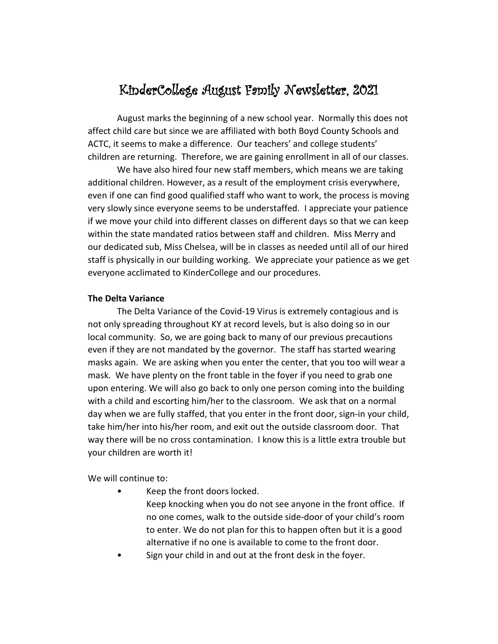# KinderCollege August Family Newsletter, 2021

August marks the beginning of a new school year. Normally this does not affect child care but since we are affiliated with both Boyd County Schools and ACTC, it seems to make a difference. Our teachers' and college students' children are returning. Therefore, we are gaining enrollment in all of our classes.

We have also hired four new staff members, which means we are taking additional children. However, as a result of the employment crisis everywhere, even if one can find good qualified staff who want to work, the process is moving very slowly since everyone seems to be understaffed. I appreciate your patience if we move your child into different classes on different days so that we can keep within the state mandated ratios between staff and children. Miss Merry and our dedicated sub, Miss Chelsea, will be in classes as needed until all of our hired staff is physically in our building working. We appreciate your patience as we get everyone acclimated to KinderCollege and our procedures.

#### **The Delta Variance**

The Delta Variance of the Covid-19 Virus is extremely contagious and is not only spreading throughout KY at record levels, but is also doing so in our local community. So, we are going back to many of our previous precautions even if they are not mandated by the governor. The staff has started wearing masks again. We are asking when you enter the center, that you too will wear a mask. We have plenty on the front table in the foyer if you need to grab one upon entering. We will also go back to only one person coming into the building with a child and escorting him/her to the classroom. We ask that on a normal day when we are fully staffed, that you enter in the front door, sign-in your child, take him/her into his/her room, and exit out the outside classroom door. That way there will be no cross contamination. I know this is a little extra trouble but your children are worth it!

We will continue to:

Keep the front doors locked.

Keep knocking when you do not see anyone in the front office. If no one comes, walk to the outside side-door of your child's room to enter. We do not plan for this to happen often but it is a good alternative if no one is available to come to the front door.

Sign your child in and out at the front desk in the foyer.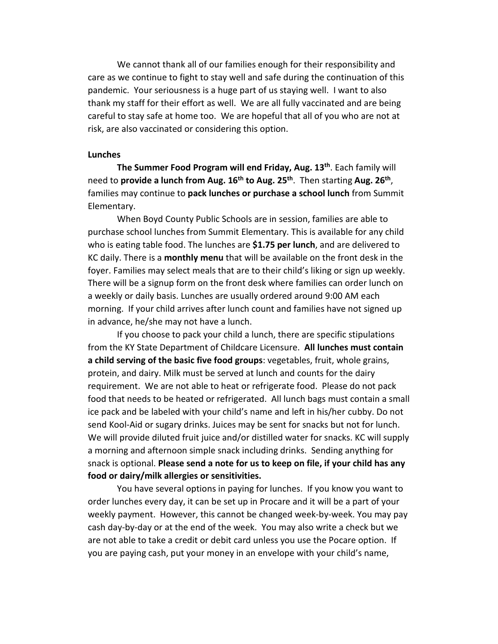We cannot thank all of our families enough for their responsibility and care as we continue to fight to stay well and safe during the continuation of this pandemic. Your seriousness is a huge part of us staying well. I want to also thank my staff for their effort as well. We are all fully vaccinated and are being careful to stay safe at home too. We are hopeful that all of you who are not at risk, are also vaccinated or considering this option.

#### **Lunches**

**The Summer Food Program will end Friday, Aug. 13th**. Each family will need to **provide a lunch from Aug. 16th to Aug. 25th**. Then starting **Aug. 26th**, families may continue to **pack lunches or purchase a school lunch** from Summit Elementary.

When Boyd County Public Schools are in session, families are able to purchase school lunches from Summit Elementary. This is available for any child who is eating table food. The lunches are **\$1.75 per lunch**, and are delivered to KC daily. There is a **monthly menu** that will be available on the front desk in the foyer. Families may select meals that are to their child's liking or sign up weekly. There will be a signup form on the front desk where families can order lunch on a weekly or daily basis. Lunches are usually ordered around 9:00 AM each morning. If your child arrives after lunch count and families have not signed up in advance, he/she may not have a lunch.

If you choose to pack your child a lunch, there are specific stipulations from the KY State Department of Childcare Licensure. **All lunches must contain a child serving of the basic five food groups**: vegetables, fruit, whole grains, protein, and dairy. Milk must be served at lunch and counts for the dairy requirement. We are not able to heat or refrigerate food. Please do not pack food that needs to be heated or refrigerated. All lunch bags must contain a small ice pack and be labeled with your child's name and left in his/her cubby. Do not send Kool-Aid or sugary drinks. Juices may be sent for snacks but not for lunch. We will provide diluted fruit juice and/or distilled water for snacks. KC will supply a morning and afternoon simple snack including drinks. Sending anything for snack is optional. **Please send a note for us to keep on file, if your child has any food or dairy/milk allergies or sensitivities.**

You have several options in paying for lunches. If you know you want to order lunches every day, it can be set up in Procare and it will be a part of your weekly payment. However, this cannot be changed week-by-week. You may pay cash day-by-day or at the end of the week. You may also write a check but we are not able to take a credit or debit card unless you use the Pocare option. If you are paying cash, put your money in an envelope with your child's name,